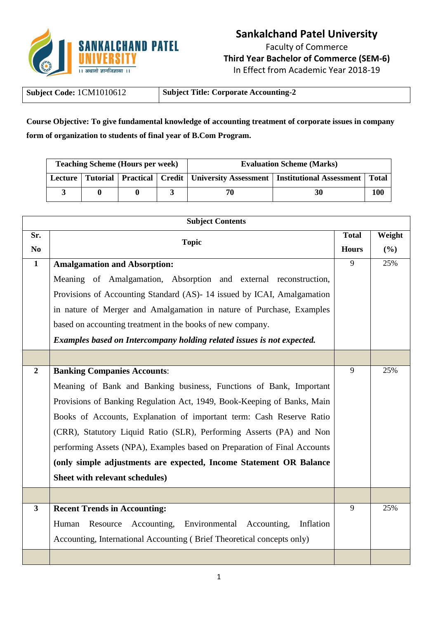

## **Sankalchand Patel University**

Faculty of Commerce **Third Year Bachelor of Commerce (SEM-6)** In Effect from Academic Year 2018-19

| Subject Code: 1CM1010612 | <b>Subject Title: Corporate Accounting-2</b> |
|--------------------------|----------------------------------------------|
|--------------------------|----------------------------------------------|

**Course Objective: To give fundamental knowledge of accounting treatment of corporate issues in company form of organization to students of final year of B.Com Program.**

| <b>Teaching Scheme (Hours per week)</b> |  |  | <b>Evaluation Scheme (Marks)</b> |                                                                                                    |     |
|-----------------------------------------|--|--|----------------------------------|----------------------------------------------------------------------------------------------------|-----|
|                                         |  |  |                                  | Lecture   Tutorial   Practical   Credit   University Assessment   Institutional Assessment   Total |     |
|                                         |  |  |                                  |                                                                                                    | 100 |

|                | <b>Subject Contents</b>                                                  |   |        |  |  |
|----------------|--------------------------------------------------------------------------|---|--------|--|--|
| Sr.            | <b>Topic</b>                                                             |   | Weight |  |  |
| N <sub>0</sub> |                                                                          |   | (%)    |  |  |
| $\mathbf{1}$   | <b>Amalgamation and Absorption:</b>                                      | 9 | 25%    |  |  |
|                | Meaning of Amalgamation, Absorption and external reconstruction,         |   |        |  |  |
|                | Provisions of Accounting Standard (AS)- 14 issued by ICAI, Amalgamation  |   |        |  |  |
|                | in nature of Merger and Amalgamation in nature of Purchase, Examples     |   |        |  |  |
|                | based on accounting treatment in the books of new company.               |   |        |  |  |
|                | Examples based on Intercompany holding related issues is not expected.   |   |        |  |  |
|                |                                                                          |   |        |  |  |
| $\overline{2}$ | <b>Banking Companies Accounts:</b>                                       | 9 | 25%    |  |  |
|                | Meaning of Bank and Banking business, Functions of Bank, Important       |   |        |  |  |
|                | Provisions of Banking Regulation Act, 1949, Book-Keeping of Banks, Main  |   |        |  |  |
|                | Books of Accounts, Explanation of important term: Cash Reserve Ratio     |   |        |  |  |
|                | (CRR), Statutory Liquid Ratio (SLR), Performing Asserts (PA) and Non     |   |        |  |  |
|                | performing Assets (NPA), Examples based on Preparation of Final Accounts |   |        |  |  |
|                | (only simple adjustments are expected, Income Statement OR Balance       |   |        |  |  |
|                | Sheet with relevant schedules)                                           |   |        |  |  |
|                |                                                                          |   |        |  |  |
| $\mathbf{3}$   | <b>Recent Trends in Accounting:</b>                                      | 9 | 25%    |  |  |
|                | Resource Accounting, Environmental Accounting,<br>Inflation<br>Human     |   |        |  |  |
|                | Accounting, International Accounting (Brief Theoretical concepts only)   |   |        |  |  |
|                |                                                                          |   |        |  |  |